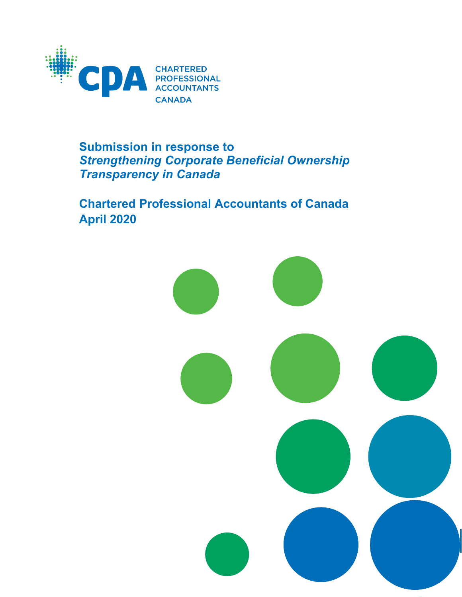

# **Submission in response to**  *Strengthening Corporate Beneficial Ownership Transparency in Canada*

**Chartered Professional Accountants of Canada April 2020**

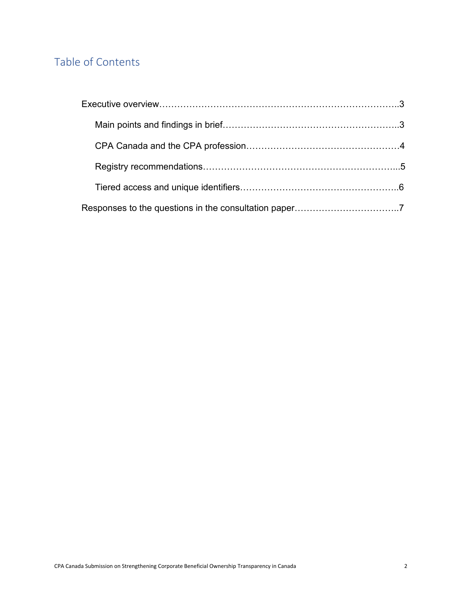# Table of Contents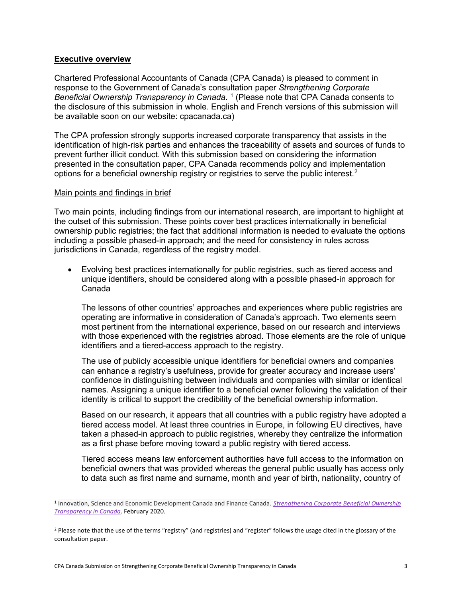#### **Executive overview**

Chartered Professional Accountants of Canada (CPA Canada) is pleased to comment in response to the Government of Canada's consultation paper *Strengthening Corporate Beneficial Ownership Transparency in Canada*. [1](#page-2-0) (Please note that CPA Canada consents to the disclosure of this submission in whole. English and French versions of this submission will be available soon on our website: cpacanada.ca)

The CPA profession strongly supports increased corporate transparency that assists in the identification of high-risk parties and enhances the traceability of assets and sources of funds to prevent further illicit conduct. With this submission based on considering the information presented in the consultation paper, CPA Canada recommends policy and implementation options for a beneficial ownership registry or registries to serve the public interest.<sup>[2](#page-2-1)</sup>

#### Main points and findings in brief

Two main points, including findings from our international research, are important to highlight at the outset of this submission. These points cover best practices internationally in beneficial ownership public registries; the fact that additional information is needed to evaluate the options including a possible phased-in approach; and the need for consistency in rules across jurisdictions in Canada, regardless of the registry model.

• Evolving best practices internationally for public registries, such as tiered access and unique identifiers, should be considered along with a possible phased-in approach for Canada

The lessons of other countries' approaches and experiences where public registries are operating are informative in consideration of Canada's approach. Two elements seem most pertinent from the international experience, based on our research and interviews with those experienced with the registries abroad. Those elements are the role of unique identifiers and a tiered-access approach to the registry.

The use of publicly accessible unique identifiers for beneficial owners and companies can enhance a registry's usefulness, provide for greater accuracy and increase users' confidence in distinguishing between individuals and companies with similar or identical names. Assigning a unique identifier to a beneficial owner following the validation of their identity is critical to support the credibility of the beneficial ownership information.

Based on our research, it appears that all countries with a public registry have adopted a tiered access model. At least three countries in Europe, in following EU directives, have taken a phased-in approach to public registries, whereby they centralize the information as a first phase before moving toward a public registry with tiered access.

Tiered access means law enforcement authorities have full access to the information on beneficial owners that was provided whereas the general public usually has access only to data such as first name and surname, month and year of birth, nationality, country of

<span id="page-2-0"></span><sup>1</sup> Innovation, Science and Economic Development Canada and Finance Canada. *[Strengthening Corporate Beneficial Ownership](https://www.ic.gc.ca/eic/site/142.nsf/eng/home)  [Transparency in Canada](https://www.ic.gc.ca/eic/site/142.nsf/eng/home)*. February 2020.

<span id="page-2-1"></span><sup>&</sup>lt;sup>2</sup> Please note that the use of the terms "registry" (and registries) and "register" follows the usage cited in the glossary of the consultation paper.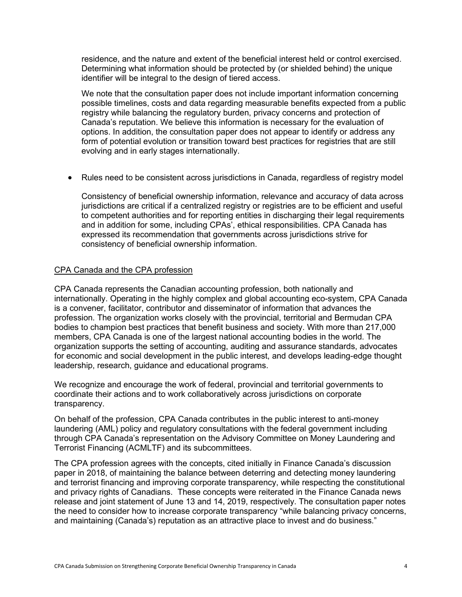residence, and the nature and extent of the beneficial interest held or control exercised. Determining what information should be protected by (or shielded behind) the unique identifier will be integral to the design of tiered access.

We note that the consultation paper does not include important information concerning possible timelines, costs and data regarding measurable benefits expected from a public registry while balancing the regulatory burden, privacy concerns and protection of Canada's reputation. We believe this information is necessary for the evaluation of options. In addition, the consultation paper does not appear to identify or address any form of potential evolution or transition toward best practices for registries that are still evolving and in early stages internationally.

• Rules need to be consistent across jurisdictions in Canada, regardless of registry model

Consistency of beneficial ownership information, relevance and accuracy of data across jurisdictions are critical if a centralized registry or registries are to be efficient and useful to competent authorities and for reporting entities in discharging their legal requirements and in addition for some, including CPAs', ethical responsibilities. CPA Canada has expressed its recommendation that governments across jurisdictions strive for consistency of beneficial ownership information.

# CPA Canada and the CPA profession

CPA Canada represents the Canadian accounting profession, both nationally and internationally. Operating in the highly complex and global accounting eco-system, CPA Canada is a convener, facilitator, contributor and disseminator of information that advances the profession. The organization works closely with the provincial, territorial and Bermudan CPA bodies to champion best practices that benefit business and society. With more than 217,000 members, CPA Canada is one of the largest national accounting bodies in the world. The organization supports the setting of accounting, auditing and assurance standards, advocates for economic and social development in the public interest, and develops leading-edge thought leadership, research, guidance and educational programs.

We recognize and encourage the work of federal, provincial and territorial governments to coordinate their actions and to work collaboratively across jurisdictions on corporate transparency.

On behalf of the profession, CPA Canada contributes in the public interest to anti-money laundering (AML) policy and regulatory consultations with the federal government including through CPA Canada's representation on the Advisory Committee on Money Laundering and Terrorist Financing (ACMLTF) and its subcommittees.

The CPA profession agrees with the concepts, cited initially in Finance Canada's discussion paper in 2018, of maintaining the balance between deterring and detecting money laundering and terrorist financing and improving corporate transparency, while respecting the constitutional and privacy rights of Canadians. These concepts were reiterated in the Finance Canada news release and joint statement of June 13 and 14, 2019, respectively. The consultation paper notes the need to consider how to increase corporate transparency "while balancing privacy concerns, and maintaining (Canada's) reputation as an attractive place to invest and do business."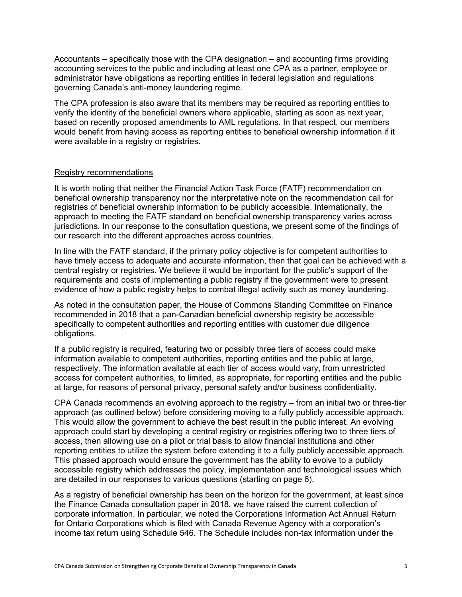Accountants – specifically those with the CPA designation – and accounting firms providing accounting services to the public and including at least one CPA as a partner, employee or administrator have obligations as reporting entities in federal legislation and regulations governing Canada's anti-money laundering regime.

The CPA profession is also aware that its members may be required as reporting entities to verify the identity of the beneficial owners where applicable, starting as soon as next year, based on recently proposed amendments to AML regulations. In that respect, our members would benefit from having access as reporting entities to beneficial ownership information if it were available in a registry or registries.

#### Registry recommendations

It is worth noting that neither the Financial Action Task Force (FATF) recommendation on beneficial ownership transparency nor the interpretative note on the recommendation call for registries of beneficial ownership information to be publicly accessible. Internationally, the approach to meeting the FATF standard on beneficial ownership transparency varies across jurisdictions. In our response to the consultation questions, we present some of the findings of our research into the different approaches across countries.

In line with the FATF standard, if the primary policy objective is for competent authorities to have timely access to adequate and accurate information, then that goal can be achieved with a central registry or registries. We believe it would be important for the public's support of the requirements and costs of implementing a public registry if the government were to present evidence of how a public registry helps to combat illegal activity such as money laundering.

As noted in the consultation paper, the House of Commons Standing Committee on Finance recommended in 2018 that a pan-Canadian beneficial ownership registry be accessible specifically to competent authorities and reporting entities with customer due diligence obligations.

If a public registry is required, featuring two or possibly three tiers of access could make information available to competent authorities, reporting entities and the public at large, respectively. The information available at each tier of access would vary, from unrestricted access for competent authorities, to limited, as appropriate, for reporting entities and the public at large, for reasons of personal privacy, personal safety and/or business confidentiality.

CPA Canada recommends an evolving approach to the registry – from an initial two or three-tier approach (as outlined below) before considering moving to a fully publicly accessible approach. This would allow the government to achieve the best result in the public interest. An evolving approach could start by developing a central registry or registries offering two to three tiers of access, then allowing use on a pilot or trial basis to allow financial institutions and other reporting entities to utilize the system before extending it to a fully publicly accessible approach. This phased approach would ensure the government has the ability to evolve to a publicly accessible registry which addresses the policy, implementation and technological issues which are detailed in our responses to various questions (starting on page 6).

As a registry of beneficial ownership has been on the horizon for the government, at least since the Finance Canada consultation paper in 2018, we have raised the current collection of corporate information. In particular, we noted the Corporations Information Act Annual Return for Ontario Corporations which is filed with Canada Revenue Agency with a corporation's income tax return using Schedule 546. The Schedule includes non-tax information under the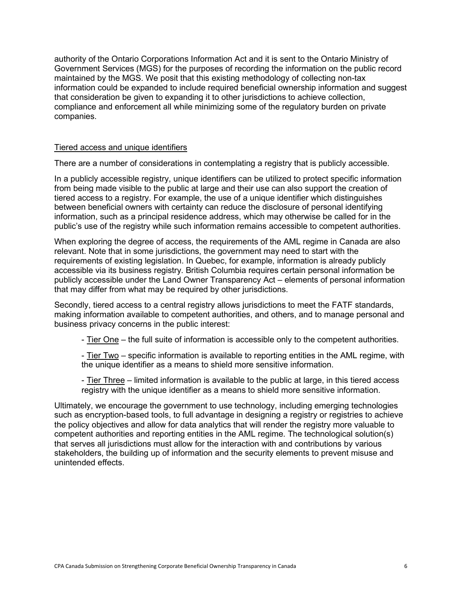authority of the Ontario Corporations Information Act and it is sent to the Ontario Ministry of Government Services (MGS) for the purposes of recording the information on the public record maintained by the MGS. We posit that this existing methodology of collecting non-tax information could be expanded to include required beneficial ownership information and suggest that consideration be given to expanding it to other jurisdictions to achieve collection, compliance and enforcement all while minimizing some of the regulatory burden on private companies.

#### Tiered access and unique identifiers

There are a number of considerations in contemplating a registry that is publicly accessible.

In a publicly accessible registry, unique identifiers can be utilized to protect specific information from being made visible to the public at large and their use can also support the creation of tiered access to a registry. For example, the use of a unique identifier which distinguishes between beneficial owners with certainty can reduce the disclosure of personal identifying information, such as a principal residence address, which may otherwise be called for in the public's use of the registry while such information remains accessible to competent authorities.

When exploring the degree of access, the requirements of the AML regime in Canada are also relevant. Note that in some jurisdictions, the government may need to start with the requirements of existing legislation. In Quebec, for example, information is already publicly accessible via its business registry. British Columbia requires certain personal information be publicly accessible under the Land Owner Transparency Act – elements of personal information that may differ from what may be required by other jurisdictions.

Secondly, tiered access to a central registry allows jurisdictions to meet the FATF standards, making information available to competent authorities, and others, and to manage personal and business privacy concerns in the public interest:

- Tier One – the full suite of information is accessible only to the competent authorities.

- Tier Two – specific information is available to reporting entities in the AML regime, with the unique identifier as a means to shield more sensitive information.

- Tier Three – limited information is available to the public at large, in this tiered access registry with the unique identifier as a means to shield more sensitive information.

Ultimately, we encourage the government to use technology, including emerging technologies such as encryption-based tools, to full advantage in designing a registry or registries to achieve the policy objectives and allow for data analytics that will render the registry more valuable to competent authorities and reporting entities in the AML regime. The technological solution(s) that serves all jurisdictions must allow for the interaction with and contributions by various stakeholders, the building up of information and the security elements to prevent misuse and unintended effects.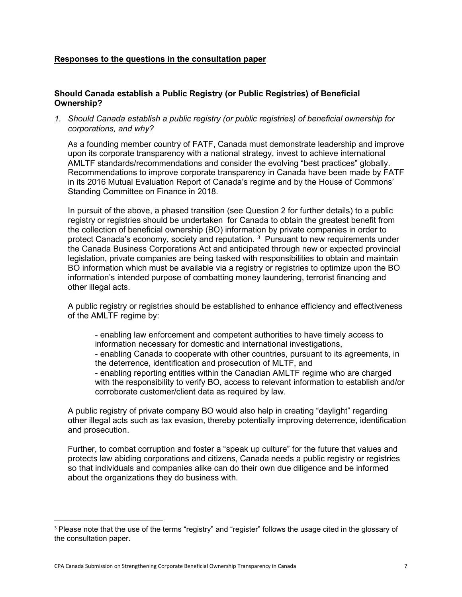# **Responses to the questions in the consultation paper**

# **Should Canada establish a Public Registry (or Public Registries) of Beneficial Ownership?**

*1. Should Canada establish a public registry (or public registries) of beneficial ownership for corporations, and why?*

As a founding member country of FATF, Canada must demonstrate leadership and improve upon its corporate transparency with a national strategy, invest to achieve international AMLTF standards/recommendations and consider the evolving "best practices" globally. Recommendations to improve corporate transparency in Canada have been made by FATF in its 2016 Mutual Evaluation Report of Canada's regime and by the House of Commons' Standing Committee on Finance in 2018.

In pursuit of the above, a phased transition (see Question 2 for further details) to a public registry or registries should be undertaken for Canada to obtain the greatest benefit from the collection of beneficial ownership (BO) information by private companies in order to protect Canada's economy, society and reputation. <sup>[3](#page-6-0)</sup> Pursuant to new requirements under the Canada Business Corporations Act and anticipated through new or expected provincial legislation, private companies are being tasked with responsibilities to obtain and maintain BO information which must be available via a registry or registries to optimize upon the BO information's intended purpose of combatting money laundering, terrorist financing and other illegal acts.

A public registry or registries should be established to enhance efficiency and effectiveness of the AMLTF regime by:

- enabling law enforcement and competent authorities to have timely access to information necessary for domestic and international investigations, - enabling Canada to cooperate with other countries, pursuant to its agreements, in the deterrence, identification and prosecution of MLTF, and - enabling reporting entities within the Canadian AMLTF regime who are charged with the responsibility to verify BO, access to relevant information to establish and/or corroborate customer/client data as required by law.

A public registry of private company BO would also help in creating "daylight" regarding other illegal acts such as tax evasion, thereby potentially improving deterrence, identification and prosecution.

Further, to combat corruption and foster a "speak up culture" for the future that values and protects law abiding corporations and citizens, Canada needs a public registry or registries so that individuals and companies alike can do their own due diligence and be informed about the organizations they do business with.

<span id="page-6-0"></span><sup>&</sup>lt;sup>3</sup> Please note that the use of the terms "registry" and "register" follows the usage cited in the glossary of the consultation paper.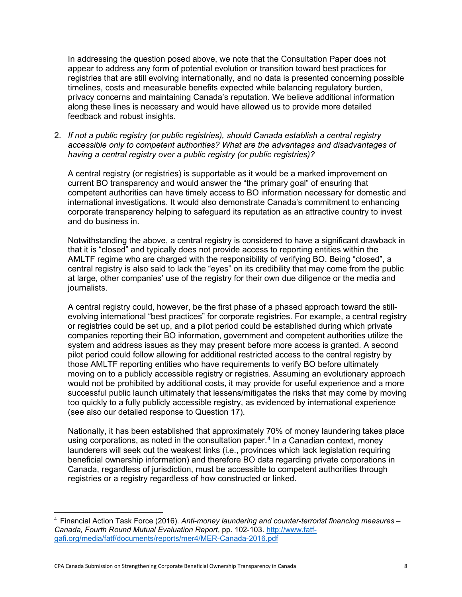In addressing the question posed above, we note that the Consultation Paper does not appear to address any form of potential evolution or transition toward best practices for registries that are still evolving internationally, and no data is presented concerning possible timelines, costs and measurable benefits expected while balancing regulatory burden, privacy concerns and maintaining Canada's reputation. We believe additional information along these lines is necessary and would have allowed us to provide more detailed feedback and robust insights.

2. *If not a public registry (or public registries), should Canada establish a central registry accessible only to competent authorities? What are the advantages and disadvantages of having a central registry over a public registry (or public registries)?*

A central registry (or registries) is supportable as it would be a marked improvement on current BO transparency and would answer the "the primary goal" of ensuring that competent authorities can have timely access to BO information necessary for domestic and international investigations. It would also demonstrate Canada's commitment to enhancing corporate transparency helping to safeguard its reputation as an attractive country to invest and do business in.

Notwithstanding the above, a central registry is considered to have a significant drawback in that it is "closed" and typically does not provide access to reporting entities within the AMLTF regime who are charged with the responsibility of verifying BO. Being "closed", a central registry is also said to lack the "eyes" on its credibility that may come from the public at large, other companies' use of the registry for their own due diligence or the media and journalists.

A central registry could, however, be the first phase of a phased approach toward the stillevolving international "best practices" for corporate registries. For example, a central registry or registries could be set up, and a pilot period could be established during which private companies reporting their BO information, government and competent authorities utilize the system and address issues as they may present before more access is granted. A second pilot period could follow allowing for additional restricted access to the central registry by those AMLTF reporting entities who have requirements to verify BO before ultimately moving on to a publicly accessible registry or registries. Assuming an evolutionary approach would not be prohibited by additional costs, it may provide for useful experience and a more successful public launch ultimately that lessens/mitigates the risks that may come by moving too quickly to a fully publicly accessible registry, as evidenced by international experience (see also our detailed response to Question 17).

Nationally, it has been established that approximately 70% of money laundering takes place using corporations, as noted in the consultation paper.<sup>[4](#page-7-0)</sup> In a Canadian context, money launderers will seek out the weakest links (i.e., provinces which lack legislation requiring beneficial ownership information) and therefore BO data regarding private corporations in Canada, regardless of jurisdiction, must be accessible to competent authorities through registries or a registry regardless of how constructed or linked.

<span id="page-7-0"></span><sup>4</sup> Financial Action Task Force (2016). *Anti-money laundering and counter-terrorist financing measures – Canada, Fourth Round Mutual Evaluation Report*, pp. 102-103. [http://www.fatf](http://www.fatf-gafi.org/media/fatf/documents/reports/mer4/MER-Canada-2016.pdf)[gafi.org/media/fatf/documents/reports/mer4/MER-Canada-2016.pdf](http://www.fatf-gafi.org/media/fatf/documents/reports/mer4/MER-Canada-2016.pdf)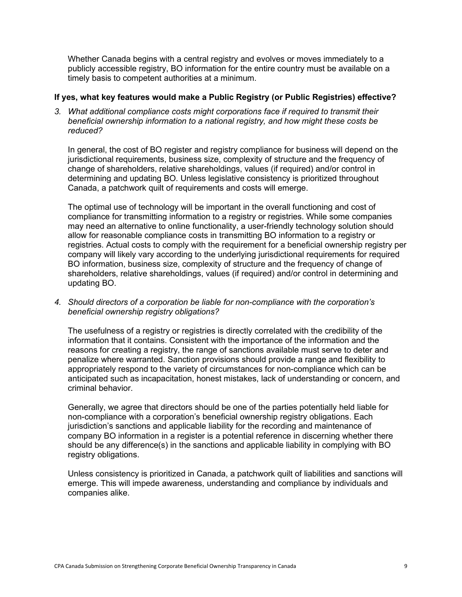Whether Canada begins with a central registry and evolves or moves immediately to a publicly accessible registry, BO information for the entire country must be available on a timely basis to competent authorities at a minimum.

#### **If yes, what key features would make a Public Registry (or Public Registries) effective?**

*3. What additional compliance costs might corporations face if required to transmit their beneficial ownership information to a national registry, and how might these costs be reduced?*

In general, the cost of BO register and registry compliance for business will depend on the jurisdictional requirements, business size, complexity of structure and the frequency of change of shareholders, relative shareholdings, values (if required) and/or control in determining and updating BO. Unless legislative consistency is prioritized throughout Canada, a patchwork quilt of requirements and costs will emerge.

The optimal use of technology will be important in the overall functioning and cost of compliance for transmitting information to a registry or registries. While some companies may need an alternative to online functionality, a user-friendly technology solution should allow for reasonable compliance costs in transmitting BO information to a registry or registries. Actual costs to comply with the requirement for a beneficial ownership registry per company will likely vary according to the underlying jurisdictional requirements for required BO information, business size, complexity of structure and the frequency of change of shareholders, relative shareholdings, values (if required) and/or control in determining and updating BO.

*4. Should directors of a corporation be liable for non-compliance with the corporation's beneficial ownership registry obligations?*

The usefulness of a registry or registries is directly correlated with the credibility of the information that it contains. Consistent with the importance of the information and the reasons for creating a registry, the range of sanctions available must serve to deter and penalize where warranted. Sanction provisions should provide a range and flexibility to appropriately respond to the variety of circumstances for non-compliance which can be anticipated such as incapacitation, honest mistakes, lack of understanding or concern, and criminal behavior.

Generally, we agree that directors should be one of the parties potentially held liable for non-compliance with a corporation's beneficial ownership registry obligations. Each jurisdiction's sanctions and applicable liability for the recording and maintenance of company BO information in a register is a potential reference in discerning whether there should be any difference(s) in the sanctions and applicable liability in complying with BO registry obligations.

Unless consistency is prioritized in Canada, a patchwork quilt of liabilities and sanctions will emerge. This will impede awareness, understanding and compliance by individuals and companies alike.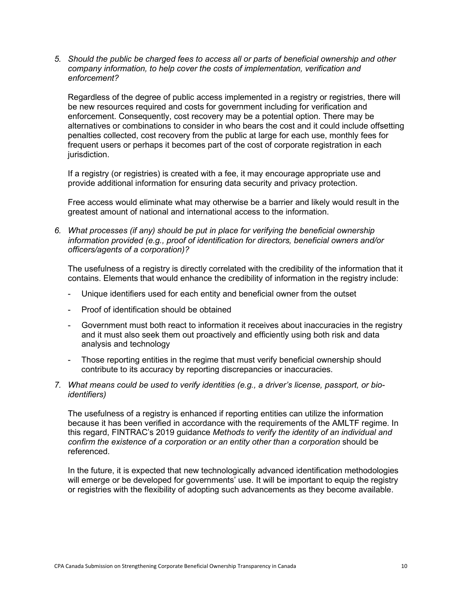*5. Should the public be charged fees to access all or parts of beneficial ownership and other company information, to help cover the costs of implementation, verification and enforcement?*

Regardless of the degree of public access implemented in a registry or registries, there will be new resources required and costs for government including for verification and enforcement. Consequently, cost recovery may be a potential option. There may be alternatives or combinations to consider in who bears the cost and it could include offsetting penalties collected, cost recovery from the public at large for each use, monthly fees for frequent users or perhaps it becomes part of the cost of corporate registration in each jurisdiction.

If a registry (or registries) is created with a fee, it may encourage appropriate use and provide additional information for ensuring data security and privacy protection.

Free access would eliminate what may otherwise be a barrier and likely would result in the greatest amount of national and international access to the information.

*6. What processes (if any) should be put in place for verifying the beneficial ownership information provided (e.g., proof of identification for directors, beneficial owners and/or officers/agents of a corporation)?*

The usefulness of a registry is directly correlated with the credibility of the information that it contains. Elements that would enhance the credibility of information in the registry include:

- Unique identifiers used for each entity and beneficial owner from the outset
- Proof of identification should be obtained
- Government must both react to information it receives about inaccuracies in the registry and it must also seek them out proactively and efficiently using both risk and data analysis and technology
- Those reporting entities in the regime that must verify beneficial ownership should contribute to its accuracy by reporting discrepancies or inaccuracies.
- *7. What means could be used to verify identities (e.g., a driver's license, passport, or bioidentifiers)*

The usefulness of a registry is enhanced if reporting entities can utilize the information because it has been verified in accordance with the requirements of the AMLTF regime. In this regard, FINTRAC's 2019 guidance *Methods to verify the identity of an individual and confirm the existence of a corporation or an entity other than a corporation* should be referenced.

In the future, it is expected that new technologically advanced identification methodologies will emerge or be developed for governments' use. It will be important to equip the registry or registries with the flexibility of adopting such advancements as they become available.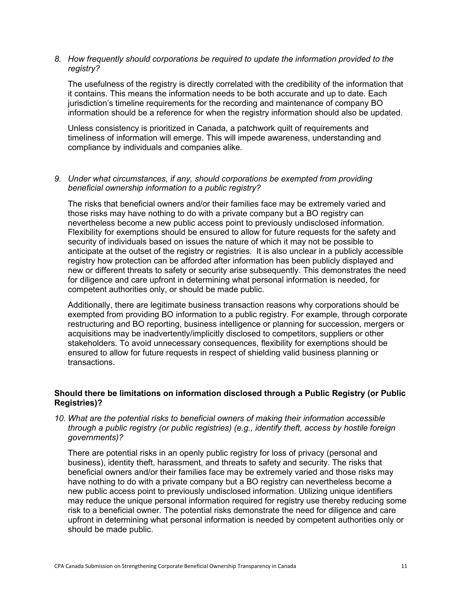### *8. How frequently should corporations be required to update the information provided to the registry?*

The usefulness of the registry is directly correlated with the credibility of the information that it contains. This means the information needs to be both accurate and up to date. Each jurisdiction's timeline requirements for the recording and maintenance of company BO information should be a reference for when the registry information should also be updated.

Unless consistency is prioritized in Canada, a patchwork quilt of requirements and timeliness of information will emerge. This will impede awareness, understanding and compliance by individuals and companies alike.

### *9. Under what circumstances, if any, should corporations be exempted from providing beneficial ownership information to a public registry?*

The risks that beneficial owners and/or their families face may be extremely varied and those risks may have nothing to do with a private company but a BO registry can nevertheless become a new public access point to previously undisclosed information. Flexibility for exemptions should be ensured to allow for future requests for the safety and security of individuals based on issues the nature of which it may not be possible to anticipate at the outset of the registry or registries. It is also unclear in a publicly accessible registry how protection can be afforded after information has been publicly displayed and new or different threats to safety or security arise subsequently. This demonstrates the need for diligence and care upfront in determining what personal information is needed, for competent authorities only, or should be made public.

Additionally, there are legitimate business transaction reasons why corporations should be exempted from providing BO information to a public registry. For example, through corporate restructuring and BO reporting, business intelligence or planning for succession, mergers or acquisitions may be inadvertently/implicitly disclosed to competitors, suppliers or other stakeholders. To avoid unnecessary consequences, flexibility for exemptions should be ensured to allow for future requests in respect of shielding valid business planning or transactions.

# **Should there be limitations on information disclosed through a Public Registry (or Public Registries)?**

*10. What are the potential risks to beneficial owners of making their information accessible through a public registry (or public registries) (e.g., identify theft, access by hostile foreign governments)?*

There are potential risks in an openly public registry for loss of privacy (personal and business), identity theft, harassment, and threats to safety and security. The risks that beneficial owners and/or their families face may be extremely varied and those risks may have nothing to do with a private company but a BO registry can nevertheless become a new public access point to previously undisclosed information. Utilizing unique identifiers may reduce the unique personal information required for registry use thereby reducing some risk to a beneficial owner. The potential risks demonstrate the need for diligence and care upfront in determining what personal information is needed by competent authorities only or should be made public.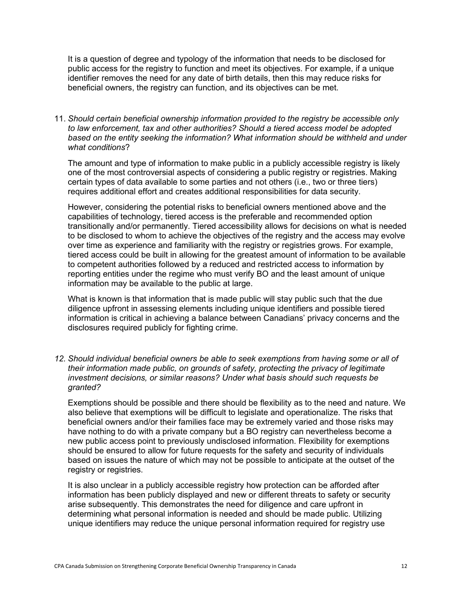It is a question of degree and typology of the information that needs to be disclosed for public access for the registry to function and meet its objectives. For example, if a unique identifier removes the need for any date of birth details, then this may reduce risks for beneficial owners, the registry can function, and its objectives can be met.

11. *Should certain beneficial ownership information provided to the registry be accessible only to law enforcement, tax and other authorities? Should a tiered access model be adopted based on the entity seeking the information? What information should be withheld and under what conditions*?

The amount and type of information to make public in a publicly accessible registry is likely one of the most controversial aspects of considering a public registry or registries. Making certain types of data available to some parties and not others (i.e., two or three tiers) requires additional effort and creates additional responsibilities for data security.

However, considering the potential risks to beneficial owners mentioned above and the capabilities of technology, tiered access is the preferable and recommended option transitionally and/or permanently. Tiered accessibility allows for decisions on what is needed to be disclosed to whom to achieve the objectives of the registry and the access may evolve over time as experience and familiarity with the registry or registries grows. For example, tiered access could be built in allowing for the greatest amount of information to be available to competent authorities followed by a reduced and restricted access to information by reporting entities under the regime who must verify BO and the least amount of unique information may be available to the public at large.

What is known is that information that is made public will stay public such that the due diligence upfront in assessing elements including unique identifiers and possible tiered information is critical in achieving a balance between Canadians' privacy concerns and the disclosures required publicly for fighting crime.

*12. Should individual beneficial owners be able to seek exemptions from having some or all of their information made public, on grounds of safety, protecting the privacy of legitimate investment decisions, or similar reasons? Under what basis should such requests be granted?*

Exemptions should be possible and there should be flexibility as to the need and nature. We also believe that exemptions will be difficult to legislate and operationalize. The risks that beneficial owners and/or their families face may be extremely varied and those risks may have nothing to do with a private company but a BO registry can nevertheless become a new public access point to previously undisclosed information. Flexibility for exemptions should be ensured to allow for future requests for the safety and security of individuals based on issues the nature of which may not be possible to anticipate at the outset of the registry or registries.

It is also unclear in a publicly accessible registry how protection can be afforded after information has been publicly displayed and new or different threats to safety or security arise subsequently. This demonstrates the need for diligence and care upfront in determining what personal information is needed and should be made public. Utilizing unique identifiers may reduce the unique personal information required for registry use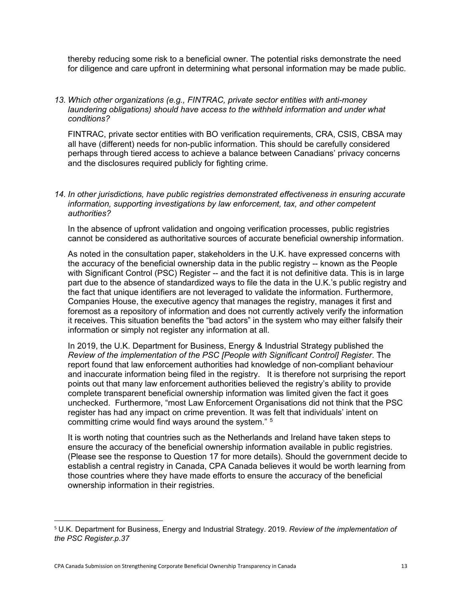thereby reducing some risk to a beneficial owner. The potential risks demonstrate the need for diligence and care upfront in determining what personal information may be made public.

*13. Which other organizations (e.g., FINTRAC, private sector entities with anti-money*  laundering obligations) should have access to the withheld information and under what *conditions?*

FINTRAC, private sector entities with BO verification requirements, CRA, CSIS, CBSA may all have (different) needs for non-public information. This should be carefully considered perhaps through tiered access to achieve a balance between Canadians' privacy concerns and the disclosures required publicly for fighting crime.

### *14. In other jurisdictions, have public registries demonstrated effectiveness in ensuring accurate information, supporting investigations by law enforcement, tax, and other competent authorities?*

In the absence of upfront validation and ongoing verification processes, public registries cannot be considered as authoritative sources of accurate beneficial ownership information.

As noted in the consultation paper, stakeholders in the U.K. have expressed concerns with the accuracy of the beneficial ownership data in the public registry -- known as the People with Significant Control (PSC) Register -- and the fact it is not definitive data. This is in large part due to the absence of standardized ways to file the data in the U.K.'s public registry and the fact that unique identifiers are not leveraged to validate the information. Furthermore, Companies House, the executive agency that manages the registry, manages it first and foremost as a repository of information and does not currently actively verify the information it receives. This situation benefits the "bad actors" in the system who may either falsify their information or simply not register any information at all.

In 2019, the U.K. Department for Business, Energy & Industrial Strategy published the *Review of the implementation of the PSC [People with Significant Control] Register*. The report found that law enforcement authorities had knowledge of non-compliant behaviour and inaccurate information being filed in the registry. It is therefore not surprising the report points out that many law enforcement authorities believed the registry's ability to provide complete transparent beneficial ownership information was limited given the fact it goes unchecked. Furthermore, "most Law Enforcement Organisations did not think that the PSC register has had any impact on crime prevention. It was felt that individuals' intent on committing crime would find ways around the system." [5](#page-12-0)

It is worth noting that countries such as the Netherlands and Ireland have taken steps to ensure the accuracy of the beneficial ownership information available in public registries. (Please see the response to Question 17 for more details). Should the government decide to establish a central registry in Canada, CPA Canada believes it would be worth learning from those countries where they have made efforts to ensure the accuracy of the beneficial ownership information in their registries.

<span id="page-12-0"></span><sup>5</sup> U.K. Department for Business, Energy and Industrial Strategy. 2019. *Review of the implementation of the PSC Register.p.37*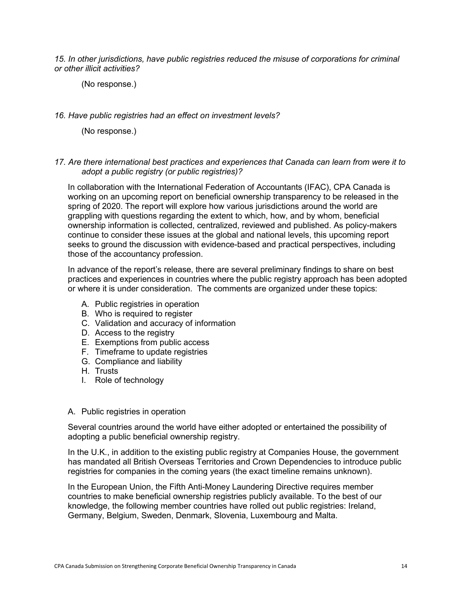*15. In other jurisdictions, have public registries reduced the misuse of corporations for criminal or other illicit activities?* 

(No response.)

#### *16. Have public registries had an effect on investment levels?*

(No response.)

#### *17. Are there international best practices and experiences that Canada can learn from were it to adopt a public registry (or public registries)?*

In collaboration with the International Federation of Accountants (IFAC), CPA Canada is working on an upcoming report on beneficial ownership transparency to be released in the spring of 2020. The report will explore how various jurisdictions around the world are grappling with questions regarding the extent to which, how, and by whom, beneficial ownership information is collected, centralized, reviewed and published. As policy-makers continue to consider these issues at the global and national levels, this upcoming report seeks to ground the discussion with evidence-based and practical perspectives, including those of the accountancy profession.

In advance of the report's release, there are several preliminary findings to share on best practices and experiences in countries where the public registry approach has been adopted or where it is under consideration. The comments are organized under these topics:

- A. Public registries in operation
- B. Who is required to register
- C. Validation and accuracy of information
- D. Access to the registry
- E. Exemptions from public access
- F. Timeframe to update registries
- G. Compliance and liability
- H. Trusts
- I. Role of technology

#### A. Public registries in operation

Several countries around the world have either adopted or entertained the possibility of adopting a public beneficial ownership registry.

In the U.K., in addition to the existing public registry at Companies House, the government has mandated all British Overseas Territories and Crown Dependencies to introduce public registries for companies in the coming years (the exact timeline remains unknown).

In the European Union, the Fifth Anti-Money Laundering Directive requires member countries to make beneficial ownership registries publicly available. To the best of our knowledge, the following member countries have rolled out public registries: Ireland, Germany, Belgium, Sweden, Denmark, Slovenia, Luxembourg and Malta.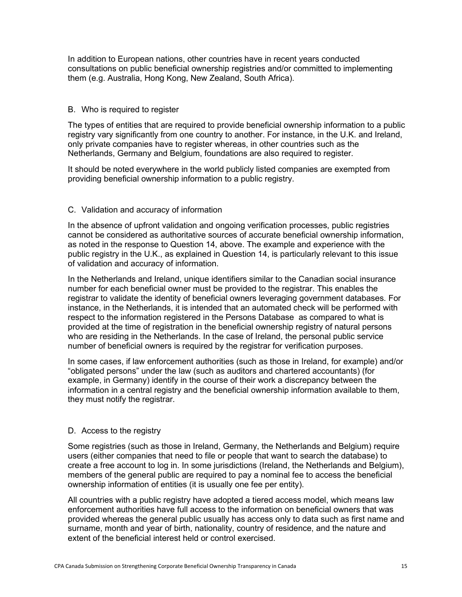In addition to European nations, other countries have in recent years conducted consultations on public beneficial ownership registries and/or committed to implementing them (e.g. Australia, Hong Kong, New Zealand, South Africa).

#### B. Who is required to register

The types of entities that are required to provide beneficial ownership information to a public registry vary significantly from one country to another. For instance, in the U.K. and Ireland, only private companies have to register whereas, in other countries such as the Netherlands, Germany and Belgium, foundations are also required to register.

It should be noted everywhere in the world publicly listed companies are exempted from providing beneficial ownership information to a public registry.

#### C. Validation and accuracy of information

In the absence of upfront validation and ongoing verification processes, public registries cannot be considered as authoritative sources of accurate beneficial ownership information, as noted in the response to Question 14, above. The example and experience with the public registry in the U.K., as explained in Question 14, is particularly relevant to this issue of validation and accuracy of information.

In the Netherlands and Ireland, unique identifiers similar to the Canadian social insurance number for each beneficial owner must be provided to the registrar. This enables the registrar to validate the identity of beneficial owners leveraging government databases. For instance, in the Netherlands, it is intended that an automated check will be performed with respect to the information registered in the Persons Database as compared to what is provided at the time of registration in the beneficial ownership registry of natural persons who are residing in the Netherlands. In the case of Ireland, the personal public service number of beneficial owners is required by the registrar for verification purposes.

In some cases, if law enforcement authorities (such as those in Ireland, for example) and/or "obligated persons" under the law (such as auditors and chartered accountants) (for example, in Germany) identify in the course of their work a discrepancy between the information in a central registry and the beneficial ownership information available to them, they must notify the registrar.

#### D. Access to the registry

Some registries (such as those in Ireland, Germany, the Netherlands and Belgium) require users (either companies that need to file or people that want to search the database) to create a free account to log in. In some jurisdictions (Ireland, the Netherlands and Belgium), members of the general public are required to pay a nominal fee to access the beneficial ownership information of entities (it is usually one fee per entity).

All countries with a public registry have adopted a tiered access model, which means law enforcement authorities have full access to the information on beneficial owners that was provided whereas the general public usually has access only to data such as first name and surname, month and year of birth, nationality, country of residence, and the nature and extent of the beneficial interest held or control exercised.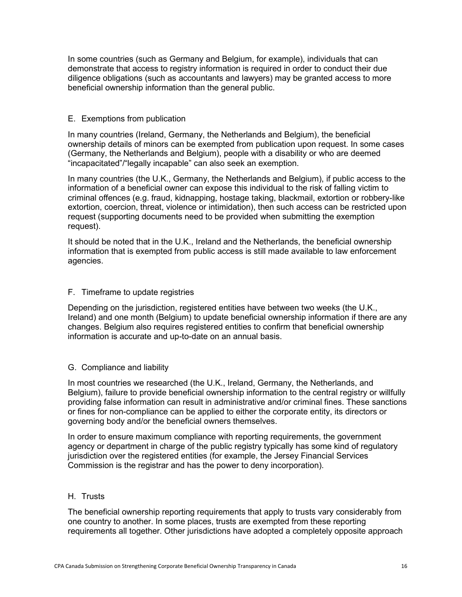In some countries (such as Germany and Belgium, for example), individuals that can demonstrate that access to registry information is required in order to conduct their due diligence obligations (such as accountants and lawyers) may be granted access to more beneficial ownership information than the general public.

#### E. Exemptions from publication

In many countries (Ireland, Germany, the Netherlands and Belgium), the beneficial ownership details of minors can be exempted from publication upon request. In some cases (Germany, the Netherlands and Belgium), people with a disability or who are deemed "incapacitated"/"legally incapable" can also seek an exemption.

In many countries (the U.K., Germany, the Netherlands and Belgium), if public access to the information of a beneficial owner can expose this individual to the risk of falling victim to criminal offences (e.g. fraud, kidnapping, hostage taking, blackmail, extortion or robbery-like extortion, coercion, threat, violence or intimidation), then such access can be restricted upon request (supporting documents need to be provided when submitting the exemption request).

It should be noted that in the U.K., Ireland and the Netherlands, the beneficial ownership information that is exempted from public access is still made available to law enforcement agencies.

#### F. Timeframe to update registries

Depending on the jurisdiction, registered entities have between two weeks (the U.K., Ireland) and one month (Belgium) to update beneficial ownership information if there are any changes. Belgium also requires registered entities to confirm that beneficial ownership information is accurate and up-to-date on an annual basis.

#### G. Compliance and liability

In most countries we researched (the U.K., Ireland, Germany, the Netherlands, and Belgium), failure to provide beneficial ownership information to the central registry or willfully providing false information can result in administrative and/or criminal fines. These sanctions or fines for non-compliance can be applied to either the corporate entity, its directors or governing body and/or the beneficial owners themselves.

In order to ensure maximum compliance with reporting requirements, the government agency or department in charge of the public registry typically has some kind of regulatory jurisdiction over the registered entities (for example, the Jersey Financial Services Commission is the registrar and has the power to deny incorporation).

#### H. Trusts

The beneficial ownership reporting requirements that apply to trusts vary considerably from one country to another. In some places, trusts are exempted from these reporting requirements all together. Other jurisdictions have adopted a completely opposite approach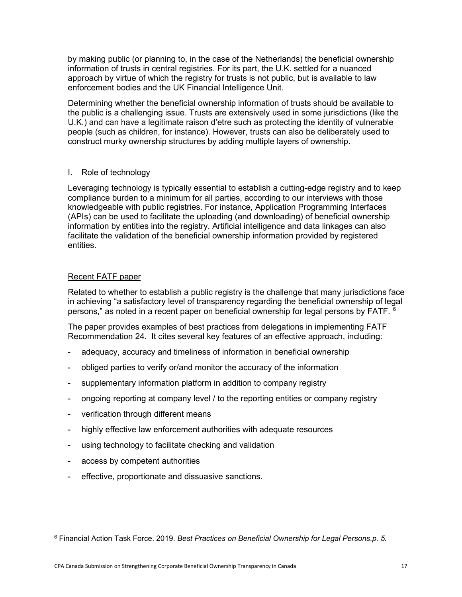by making public (or planning to, in the case of the Netherlands) the beneficial ownership information of trusts in central registries. For its part, the U.K. settled for a nuanced approach by virtue of which the registry for trusts is not public, but is available to law enforcement bodies and the UK Financial Intelligence Unit.

Determining whether the beneficial ownership information of trusts should be available to the public is a challenging issue. Trusts are extensively used in some jurisdictions (like the U.K.) and can have a legitimate raison d'etre such as protecting the identity of vulnerable people (such as children, for instance). However, trusts can also be deliberately used to construct murky ownership structures by adding multiple layers of ownership.

# I. Role of technology

Leveraging technology is typically essential to establish a cutting-edge registry and to keep compliance burden to a minimum for all parties, according to our interviews with those knowledgeable with public registries. For instance, Application Programming Interfaces (APIs) can be used to facilitate the uploading (and downloading) of beneficial ownership information by entities into the registry. Artificial intelligence and data linkages can also facilitate the validation of the beneficial ownership information provided by registered entities.

# Recent FATF paper

Related to whether to establish a public registry is the challenge that many jurisdictions face in achieving "a satisfactory level of transparency regarding the beneficial ownership of legal persons," as noted in a recent paper on beneficial ownership for legal persons by FATF.  $^6$  $^6$ 

The paper provides examples of best practices from delegations in implementing FATF Recommendation 24. It cites several key features of an effective approach, including:

- adequacy, accuracy and timeliness of information in beneficial ownership
- obliged parties to verify or/and monitor the accuracy of the information
- supplementary information platform in addition to company registry
- ongoing reporting at company level / to the reporting entities or company registry
- verification through different means
- highly effective law enforcement authorities with adequate resources
- using technology to facilitate checking and validation
- access by competent authorities
- effective, proportionate and dissuasive sanctions.

<span id="page-16-0"></span><sup>6</sup> Financial Action Task Force. 2019. *Best Practices on Beneficial Ownership for Legal Persons.p. 5.*